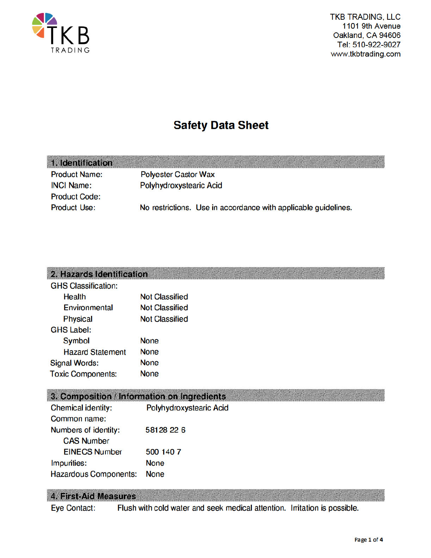

**MONSCOT** 

# **Safety Data Sheet**

| 1. Identification    |                                                                |  |
|----------------------|----------------------------------------------------------------|--|
| <b>Product Name:</b> | <b>Polyester Castor Wax</b>                                    |  |
| <b>INCI Name:</b>    | Polyhydroxystearic Acid                                        |  |
| <b>Product Code:</b> |                                                                |  |
| <b>Product Use:</b>  | No restrictions. Use in accordance with applicable guidelines. |  |
|                      |                                                                |  |

### 2. Hazards Identification

| <b>GHS Classification:</b> |                       |
|----------------------------|-----------------------|
| Health                     | <b>Not Classified</b> |
| Environmental              | <b>Not Classified</b> |
| <b>Physical</b>            | <b>Not Classified</b> |
| <b>GHS Label:</b>          |                       |
| Symbol                     | <b>None</b>           |
| <b>Hazard Statement</b>    | <b>None</b>           |
| <b>Signal Words:</b>       | <b>None</b>           |
| <b>Toxic Components:</b>   | <b>None</b>           |
|                            |                       |

### 3. Composition / Information on Ingredients

| <b>Chemical identity:</b>    | Polyhydroxystearic Acid |
|------------------------------|-------------------------|
| Common name:                 |                         |
| Numbers of identity:         | 58128 22 6              |
| <b>CAS Number</b>            |                         |
| <b>EINECS Number</b>         | 500 140 7               |
| Impurities:                  | <b>None</b>             |
| <b>Hazardous Components:</b> | <b>None</b>             |

#### 4. First-Aid Measures

**Eye Contact:** Flush with cold water and seek medical attention. Initation is possible.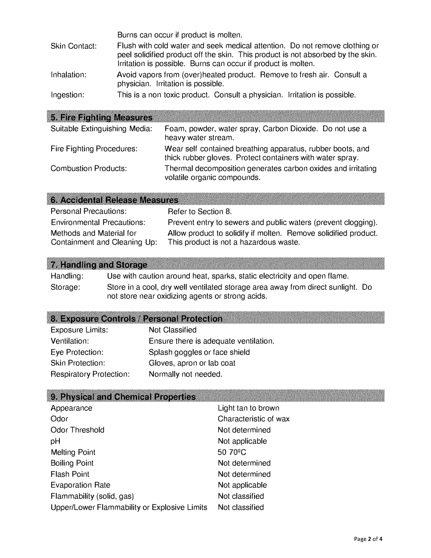|               | Burns can occur if product is molten.                                                                                                                                                                                           |
|---------------|---------------------------------------------------------------------------------------------------------------------------------------------------------------------------------------------------------------------------------|
| Skin Contact: | Flush with cold water and seek medical attention. Do not remove clothing or<br>peel solidified product off the skin. This product is not absorbed by the skin.<br>Irritation is possible. Burns can occur if product is molten. |
| Inhalation:   | Avoid vapors from (over)heated product. Remove to fresh air. Consult a<br>physician. Irritation is possible.                                                                                                                    |
| Ingestion:    | This is a non toxic product. Consult a physician. Irritation is possible.                                                                                                                                                       |

## 5. Fire Fighting Measures

| Suitable Extinguishing Media:    | Foam, powder, water spray, Carbon Dioxide. Do not use a<br>heavy water stream.                                          |
|----------------------------------|-------------------------------------------------------------------------------------------------------------------------|
| <b>Fire Fighting Procedures:</b> | Wear self contained breathing apparatus, rubber boots, and<br>thick rubber gloves. Protect containers with water spray. |
| <b>Combustion Products:</b>      | Thermal decomposition generates carbon oxides and irritating<br>volatile organic compounds.                             |

| <b>6. Accidental Release Measures</b> |                                                                 |
|---------------------------------------|-----------------------------------------------------------------|
| <b>Personal Precautions:</b>          | Refer to Section 8.                                             |
| <b>Environmental Precautions:</b>     | Prevent entry to sewers and public waters (prevent clogging).   |
| Methods and Material for              | Allow product to solidify if molten. Remove solidified product. |
| Containment and Cleaning Up:          | This product is not a hazardous waste.                          |

## 7. Handling and Storage

| Handling: | Use with caution around heat, sparks, static electricity and open flame.                                                            |
|-----------|-------------------------------------------------------------------------------------------------------------------------------------|
| Storage:  | Store in a cool, dry well ventilated storage area away from direct sunlight. Do<br>not store near oxidizing agents or strong acids. |

## 8. Exposure Controls / Personal Protection

| Exposure Limits:               | <b>Not Classified</b>                 |
|--------------------------------|---------------------------------------|
| Ventilation:                   | Ensure there is adequate ventilation. |
| Eye Protection:                | Splash goggles or face shield         |
| <b>Skin Protection:</b>        | Gloves, apron or lab coat             |
| <b>Respiratory Protection:</b> | Normally not needed.                  |

## 9. Physical and Chemical Properties

| Appearance                                   | Light tan to brown    |
|----------------------------------------------|-----------------------|
| Odor                                         | Characteristic of wax |
| Odor Threshold                               | Not determined        |
| pH                                           | Not applicable        |
| <b>Melting Point</b>                         | 50 70 <sup>°</sup> C  |
| <b>Boiling Point</b>                         | Not determined        |
| <b>Flash Point</b>                           | Not determined        |
| <b>Evaporation Rate</b>                      | Not applicable        |
| Flammability (solid, gas)                    | Not classified        |
| Upper/Lower Flammability or Explosive Limits | Not classified        |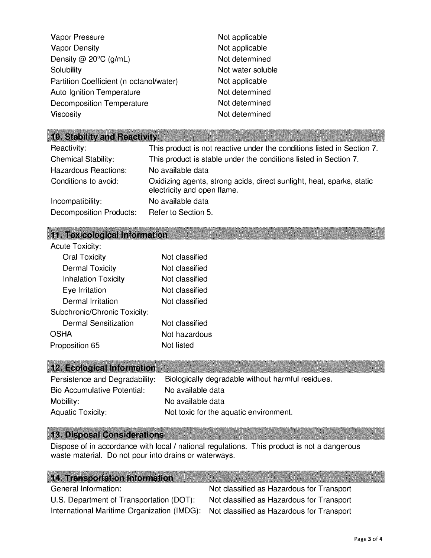| Vapor Pressure                          | Not applicable    |
|-----------------------------------------|-------------------|
| <b>Vapor Density</b>                    | Not applicable    |
| Density @ $20^{\circ}$ C (g/mL)         | Not determined    |
| Solubility                              | Not water soluble |
| Partition Coefficient (n octanol/water) | Not applicable    |
| <b>Auto Ignition Temperature</b>        | Not determined    |
| <b>Decomposition Temperature</b>        | Not determined    |
| <b>Viscosity</b>                        | Not determined    |

#### 10. Stability and Reactivity

| Reactivity:                | This product is not reactive under the conditions listed in Section 7.                               |
|----------------------------|------------------------------------------------------------------------------------------------------|
| <b>Chemical Stability:</b> | This product is stable under the conditions listed in Section 7.                                     |
| Hazardous Reactions:       | No available data                                                                                    |
| Conditions to avoid:       | Oxidizing agents, strong acids, direct sunlight, heat, sparks, static<br>electricity and open flame. |
| Incompatibility:           | No available data                                                                                    |
| Decomposition Products:    | Refer to Section 5.                                                                                  |

#### 11. Toxicological Information

| <b>Acute Toxicity:</b>       |                |
|------------------------------|----------------|
| <b>Oral Toxicity</b>         | Not classified |
| <b>Dermal Toxicity</b>       | Not classified |
| <b>Inhalation Toxicity</b>   | Not classified |
| Eye Irritation               | Not classified |
| Dermal Irritation            | Not classified |
| Subchronic/Chronic Toxicity: |                |
| Dermal Sensitization         | Not classified |
| OSHA                         | Not hazardous  |
| Proposition 65               | Not listed     |
|                              |                |

#### 12. Ecological Information

| Persistence and Degradability: | Biologically degradable without harmful residues. |
|--------------------------------|---------------------------------------------------|
| Bio Accumulative Potential:    | No available data                                 |
| Mobility:                      | No available data                                 |
| <b>Aquatic Toxicity:</b>       | Not toxic for the aquatic environment.            |

#### 13. Disposal Considerations

Dispose of in accordance with local / national regulations. This product is not a dangerous waste material. Do not pour into drains or waterways.

#### **14. Transportation Information**

U.S. Department of Transportation (DOT): Not classified as Hazardous for Transport International Maritime Organization (IMDG): Not classified as Hazardous for Transport

General Information: Not classified as Hazardous for Transport